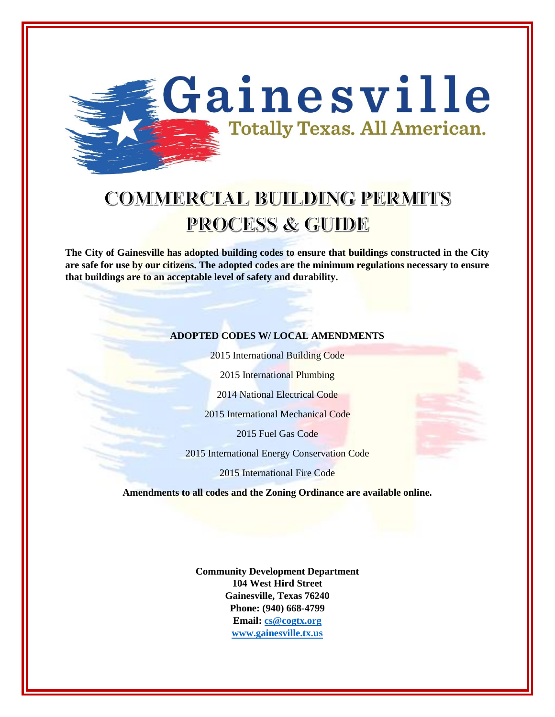

# **COMMERCIAL BUILDING PERMITS PROCESS & GUIDE**

**The City of Gainesville has adopted building codes to ensure that buildings constructed in the City are safe for use by our citizens. The adopted codes are the minimum regulations necessary to ensure that buildings are to an acceptable level of safety and durability.**

#### **ADOPTED CODES W/ LOCAL AMENDMENTS**

2015 International Building Code

2015 International Plumbing

2014 National Electrical Code

2015 International Mechanical Code

2015 Fuel Gas Code

2015 International Energy Conservation Code

2015 International Fire Code

**Amendments to all codes and the Zoning Ordinance are available online.**

**Community Development Department 104 West Hird Street Gainesville, Texas 76240 Phone: (940) 668-4799 Email[: cs@cogtx.org](mailto:cs@cogtx.org) [www.gainesville.tx.us](http://www.gainesville.tx.us/)**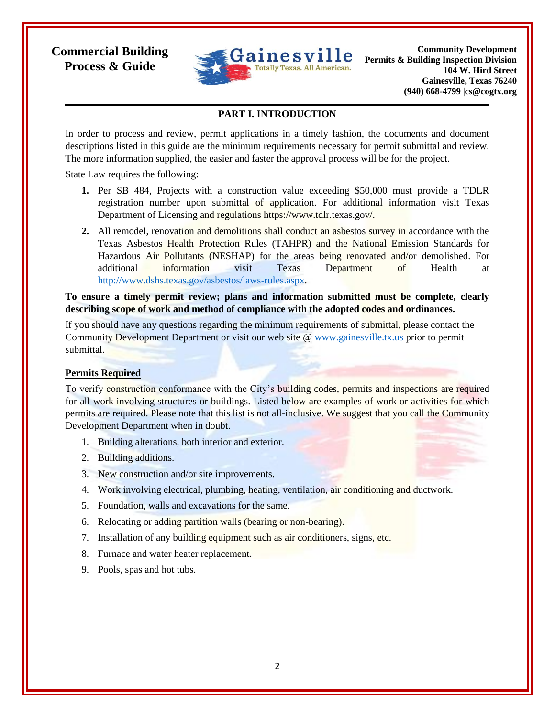

**Community Development Permits & Building Inspection Division 104 W. Hird Street Gainesville, Texas 76240 (940) 668-4799 |cs@cogtx.org**

## **PART I. INTRODUCTION**

In order to process and review, permit applications in a timely fashion, the documents and document descriptions listed in this guide are the minimum requirements necessary for permit submittal and review. The more information supplied, the easier and faster the approval process will be for the project.

State Law requires the following:

- **1.** Per SB 484, Projects with a construction value exceeding \$50,000 must provide a TDLR registration number upon submittal of application. For additional information visit Texas Department of Licensing and regulations https://www.tdlr.texas.gov/.
- **2.** All remodel, renovation and demolitions shall conduct an asbestos survey in accordance with the Texas Asbestos Health Protection Rules (TAHPR) and the National Emission Standards for Hazardous Air Pollutants (NESHAP) for the areas being renovated and/or demolished. For additional information visit Texas Department of Health at [http://www.dshs.texas.gov/asbestos/laws-rules.aspx.](http://www.dshs.texas.gov/asbestos/laws-rules.aspx)

**To ensure a timely permit review; plans and information submitted must be complete, clearly describing scope of work and method of compliance with the adopted codes and ordinances.** 

If you should have any questions regarding the minimum requirements of submittal, please contact the Community Development Department or visit our web site @ [www.gainesville.tx.us](http://www.gainesville.tx.us/) prior to permit submittal.

#### **Permits Required**

To verify construction conformance with the City's building codes, permits and inspections are required for all work involving structures or buildings. Listed below are examples of work or activities for which permits are required. Please note that this list is not all-inclusive. We suggest that you call the Community Development Department when in doubt.

- 1. Building alterations, both interior and exterior.
- 2. Building additions.
- 3. New construction and/or site improvements.
- 4. Work involving electrical, plumbing, heating, ventilation, air conditioning and ductwork.
- 5. Foundation, walls and excavations for the same.
- 6. Relocating or adding partition walls (bearing or non-bearing).
- 7. Installation of any building equipment such as air conditioners, signs, etc.
- 8. Furnace and water heater replacement.
- 9. Pools, spas and hot tubs.

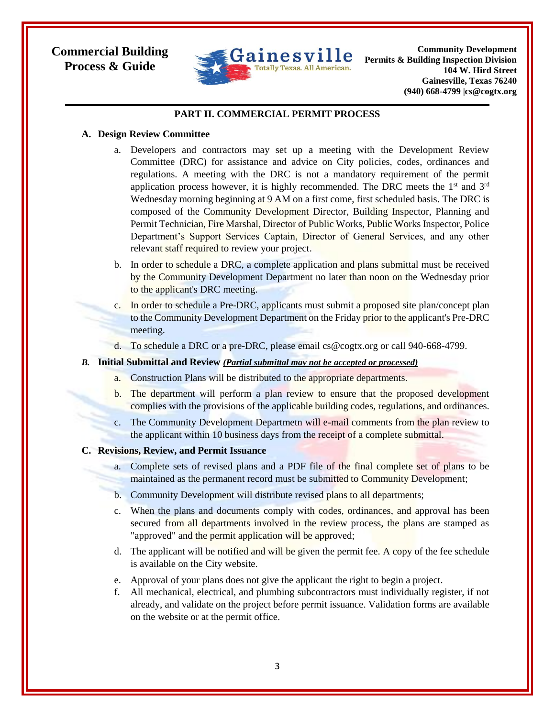

**Community Development Permits & Building Inspection Division 104 W. Hird Street Gainesville, Texas 76240 (940) 668-4799 |cs@cogtx.org**

### **PART II. COMMERCIAL PERMIT PROCESS**

#### **A. Design Review Committee**

- a. Developers and contractors may set up a meeting with the Development Review Committee (DRC) for assistance and advice on City policies, codes, ordinances and regulations. A meeting with the DRC is not a mandatory requirement of the permit application process however, it is highly recommended. The DRC meets the  $1<sup>st</sup>$  and  $3<sup>rd</sup>$ Wednesday morning beginning at 9 AM on a first come, first scheduled basis. The DRC is composed of the Community Development Director, Building Inspector, Planning and Permit Technician, Fire Marshal, Director of Public Works, Public Works Inspector, Police Department's Support Services Captain, Director of General Services, and any other relevant staff required to review your project.
- b. In order to schedule a DRC, a complete application and plans submittal must be received by the Community Development Department no later than noon on the Wednesday prior to the applicant's DRC meeting.
- c. In order to schedule a Pre-DRC, applicants must submit a proposed site plan/concept plan to the Community Development Department on the Friday prior to the applicant's Pre-DRC meeting.
- d. To schedule a DRC or a pre-DRC, please email cs@cogtx.org or call 940-668-4799.

#### *B.* **Initial Submittal and Review** *(Partial submittal may not be accepted or processed)*

- a. Construction Plans will be distributed to the appropriate departments.
- b. The department will perform a plan review to ensure that the proposed development complies with the provisions of the applicable building codes, regulations, and ordinances.
- c. The Community Development Departmetn will e-mail comments from the plan review to the applicant within 10 business days from the receipt of a complete submittal.

### **C. Revisions, Review, and Permit Issuance**

- a. Complete sets of revised plans and a PDF file of the final complete set of plans to be maintained as the permanent record must be submitted to Community Development;
- b. Community Development will distribute revised plans to all departments;
- c. When the plans and documents comply with codes, ordinances, and approval has been secured from all departments involved in the review process, the plans are stamped as "approved" and the permit application will be approved;
- d. The applicant will be notified and will be given the permit fee. A copy of the fee schedule is available on the City website.
- e. Approval of your plans does not give the applicant the right to begin a project.
- f. All mechanical, electrical, and plumbing subcontractors must individually register, if not already, and validate on the project before permit issuance. Validation forms are available on the website or at the permit office.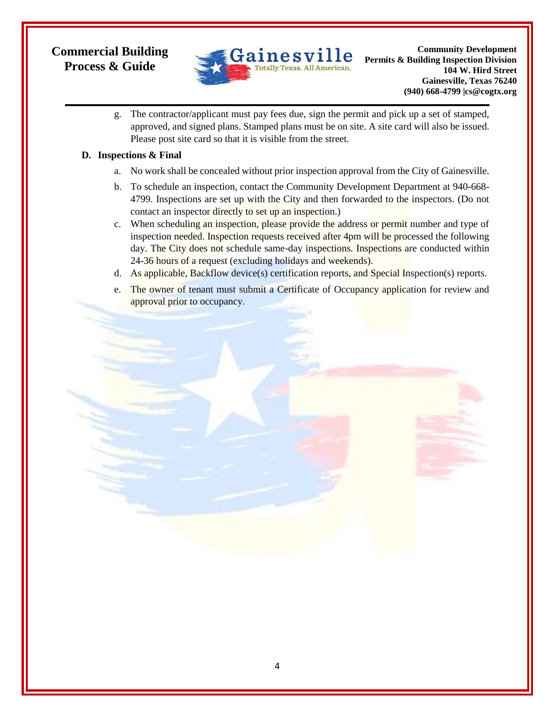

g. The contractor/applicant must pay fees due, sign the permit and pick up a set of stamped, approved, and signed plans. Stamped plans must be on site. A site card will also be issued. Please post site card so that it is visible from the street.

## **D. Inspections & Final**

- a. No work shall be concealed without prior inspection approval from the City of Gainesville.
- b. To schedule an inspection, contact the Community Development Department at 940-668- 4799. Inspections are set up with the City and then forwarded to the inspectors. (Do not contact an inspector directly to set up an inspection.)
- c. When scheduling an inspection, please provide the address or permit number and type of inspection needed. Inspection requests received after 4pm will be processed the following day. The City does not schedule same-day inspections. Inspections are conducted within 24-36 hours of a request (excluding holidays and weekends).
- d. As applicable, Backflow device(s) certification reports, and Special Inspection(s) reports.
- e. The owner of tenant must submit a Certificate of Occupancy application for review and approval prior to occupancy.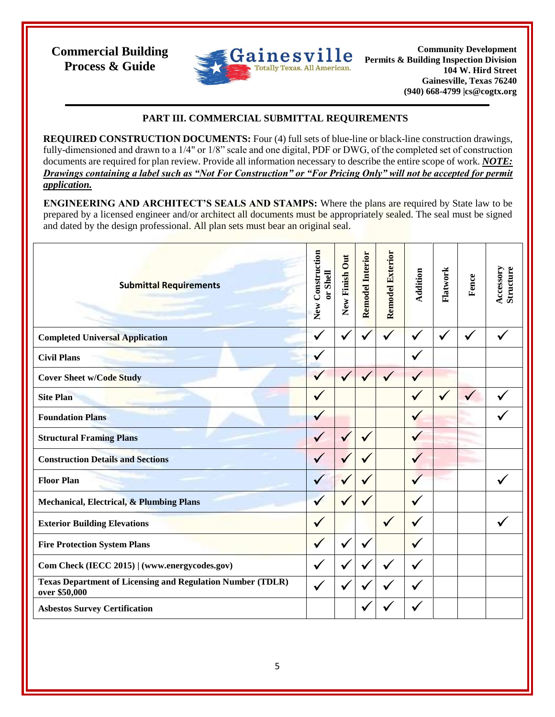

**Community Development Permits & Building Inspection Division 104 W. Hird Street Gainesville, Texas 76240 (940) 668-4799 |cs@cogtx.org**

## **PART III. COMMERCIAL SUBMITTAL REQUIREMENTS**

**REQUIRED CONSTRUCTION DOCUMENTS:** Four (4) full sets of blue-line or black-line construction drawings, fully-dimensioned and drawn to a 1/4" or 1/8" scale and one digital, PDF or DWG, of the completed set of construction documents are required for plan review. Provide all information necessary to describe the entire scope of work. *NOTE: Drawings containing a label such as "Not For Construction" or "For Pricing Only" will not be accepted for permit application.*

**ENGINEERING AND ARCHITECT'S SEALS AND STAMPS:** Where the plans are required by State law to be prepared by a licensed engineer and/or architect all documents must be appropriately sealed. The seal must be signed and dated by the design professional. All plan sets must bear an original seal.

| <b>Submittal Requirements</b>                                                      | New Construction<br>or Shell | New Finish Out | <b>Remodel Interior</b> | <b>Remodel Exterior</b> | Addition     | Flatwork     | Fence        | Accessory<br><b>Structure</b> |
|------------------------------------------------------------------------------------|------------------------------|----------------|-------------------------|-------------------------|--------------|--------------|--------------|-------------------------------|
| <b>Completed Universal Application</b>                                             | $\checkmark$                 | $\checkmark$   | $\checkmark$            | $\checkmark$            | $\checkmark$ | $\checkmark$ | $\checkmark$ |                               |
| <b>Civil Plans</b>                                                                 |                              |                |                         |                         | $\checkmark$ |              |              |                               |
| <b>Cover Sheet w/Code Study</b>                                                    | $\checkmark$                 | $\checkmark$   | $\checkmark$            | $\checkmark$            | $\checkmark$ |              |              |                               |
| <b>Site Plan</b>                                                                   | $\checkmark$                 |                |                         |                         | $\checkmark$ | $\checkmark$ | $\checkmark$ |                               |
| <b>Foundation Plans</b>                                                            |                              |                |                         |                         | ✔            |              |              |                               |
| <b>Structural Framing Plans</b>                                                    | $\checkmark$                 |                | $\checkmark$            |                         | $\checkmark$ |              |              |                               |
| <b>Construction Details and Sections</b>                                           |                              |                |                         |                         | $\checkmark$ |              |              |                               |
| <b>Floor Plan</b>                                                                  |                              |                |                         |                         | $\checkmark$ |              |              |                               |
| <b>Mechanical, Electrical, &amp; Plumbing Plans</b>                                |                              |                |                         |                         | $\checkmark$ |              |              |                               |
| <b>Exterior Building Elevations</b>                                                | √                            |                |                         | $\checkmark$            | $\checkmark$ |              |              |                               |
| <b>Fire Protection System Plans</b>                                                | $\checkmark$                 |                | $\checkmark$            |                         | $\checkmark$ |              |              |                               |
| Com Check (IECC 2015)   (www.energycodes.gov)                                      | $\checkmark$                 |                | $\checkmark$            | $\checkmark$            | ✓            |              |              |                               |
| <b>Texas Department of Licensing and Regulation Number (TDLR)</b><br>over \$50,000 | $\checkmark$                 | ✔              | v                       |                         | $\checkmark$ |              |              |                               |
| <b>Asbestos Survey Certification</b>                                               |                              |                |                         |                         |              |              |              |                               |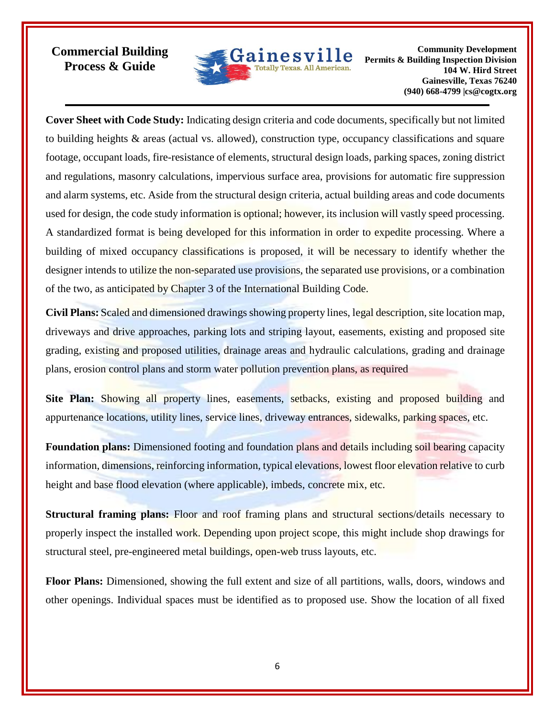

**Community Development Permits & Building Inspection Division 104 W. Hird Street Gainesville, Texas 76240 (940) 668-4799 |cs@cogtx.org**

**Cover Sheet with Code Study:** Indicating design criteria and code documents, specifically but not limited to building heights & areas (actual vs. allowed), construction type, occupancy classifications and square footage, occupant loads, fire-resistance of elements, structural design loads, parking spaces, zoning district and regulations, masonry calculations, impervious surface area, provisions for automatic fire suppression and alarm systems, etc. Aside from the structural design criteria, actual building areas and code documents used for design, the code study information is optional; however, its inclusion will vastly speed processing. A standardized format is being developed for this information in order to expedite processing. Where a building of mixed occupancy classifications is proposed, it will be necessary to identify whether the designer intends to utilize the non-separated use provisions, the separated use provisions, or a combination of the two, as anticipated by Chapter 3 of the International Building Code.

**Civil Plans:** Scaled and dimensioned drawings showing property lines, legal description, site location map, driveways and drive approaches, parking lots and striping layout, easements, existing and proposed site grading, existing and proposed utilities, drainage areas and hydraulic calculations, grading and drainage plans, erosion control plans and storm water pollution prevention plans, as required

**Site Plan:** Showing all property lines, easements, setbacks, existing and proposed building and appurtenance locations, utility lines, service lines, driveway entrances, sidewalks, parking spaces, etc.

**Foundation plans:** Dimensioned footing and foundation plans and details including soil bearing capacity information, dimensions, reinforcing information, typical elevations, lowest floor elevation relative to curb height and base flood elevation (where applicable), imbeds, concrete mix, etc.

**Structural framing plans:** Floor and roof framing plans and structural sections/details necessary to properly inspect the installed work. Depending upon project scope, this might include shop drawings for structural steel, pre-engineered metal buildings, open-web truss layouts, etc.

**Floor Plans:** Dimensioned, showing the full extent and size of all partitions, walls, doors, windows and other openings. Individual spaces must be identified as to proposed use. Show the location of all fixed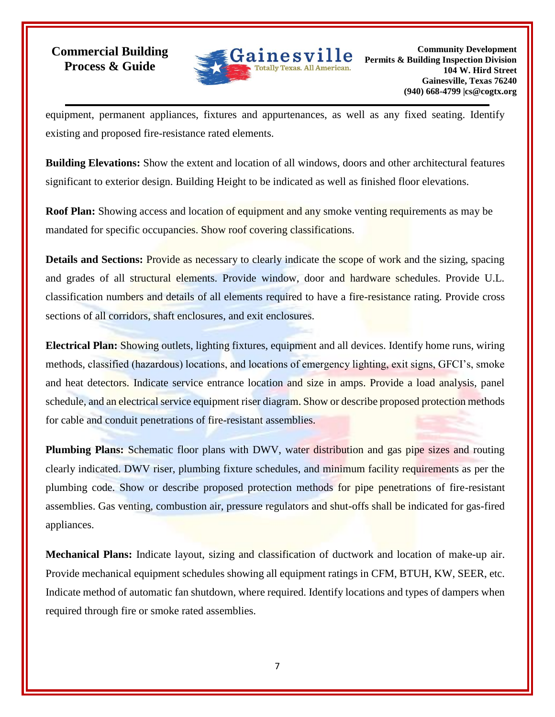

equipment, permanent appliances, fixtures and appurtenances, as well as any fixed seating. Identify existing and proposed fire-resistance rated elements.

**Building Elevations:** Show the extent and location of all windows, doors and other architectural features significant to exterior design. Building Height to be indicated as well as finished floor elevations.

**Roof Plan:** Showing access and location of equipment and any smoke venting requirements as may be mandated for specific occupancies. Show roof covering classifications.

**Details and Sections: Provide as necessary to clearly indicate the scope of work and the sizing, spacing** and grades of all structural elements. Provide window, door and hardware schedules. Provide U.L. classification numbers and details of all elements required to have a fire-resistance rating. Provide cross sections of all corridors, shaft enclosures, and exit enclosures.

**Electrical Plan:** Showing outlets, lighting fixtures, equipment and all devices. Identify home runs, wiring methods, classified (hazardous) locations, and locations of emergency lighting, exit signs, GFCI's, smoke and heat detectors. Indicate service entrance location and size in amps. Provide a load analysis, panel schedule, and an electrical service equipment riser diagram. Show or describe proposed protection methods for cable and conduit penetrations of fire-resistant assemblies.

**Plumbing Plans:** Schematic floor plans with DWV, water distribution and gas pipe sizes and routing clearly indicated. DWV riser, plumbing fixture schedules, and minimum facility requirements as per the plumbing code. Show or describe proposed protection methods for pipe penetrations of fire-resistant assemblies. Gas venting, combustion air, pressure regulators and shut-offs shall be indicated for gas-fired appliances.

**Mechanical Plans:** Indicate layout, sizing and classification of ductwork and location of make-up air. Provide mechanical equipment schedules showing all equipment ratings in CFM, BTUH, KW, SEER, etc. Indicate method of automatic fan shutdown, where required. Identify locations and types of dampers when required through fire or smoke rated assemblies.